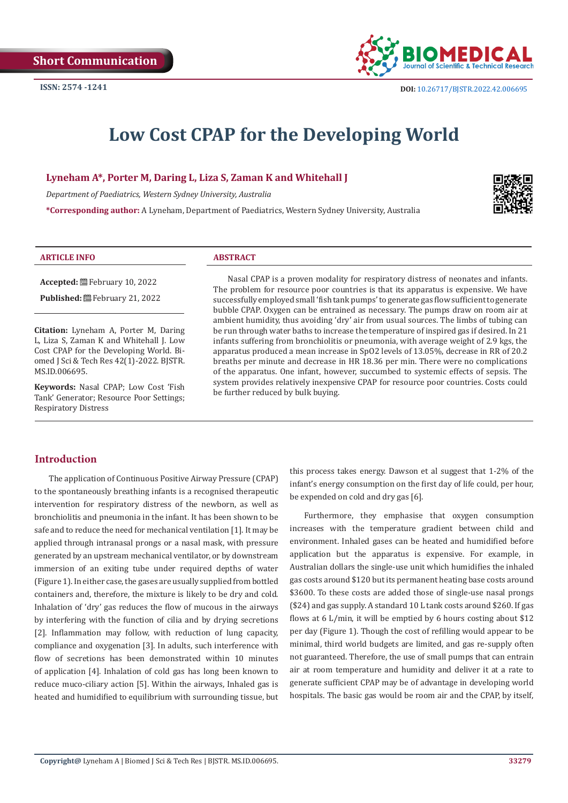

# **Low Cost CPAP for the Developing World**

**Lyneham A\*, Porter M, Daring L, Liza S, Zaman K and Whitehall J**

*Department of Paediatrics, Western Sydney University, Australia*

**\*Corresponding author:** A Lyneham, Department of Paediatrics, Western Sydney University, Australia



#### **ARTICLE INFO ABSTRACT**

**Accepted:** February 10, 2022 Published: **■**February 21, 2022

**Citation:** Lyneham A, Porter M, Daring L, Liza S, Zaman K and Whitehall J. Low Cost CPAP for the Developing World. Biomed J Sci & Tech Res 42(1)-2022. BJSTR. MS.ID.006695.

**Keywords:** Nasal CPAP; Low Cost 'Fish Tank' Generator; Resource Poor Settings; Respiratory Distress

Nasal CPAP is a proven modality for respiratory distress of neonates and infants. The problem for resource poor countries is that its apparatus is expensive. We have successfully employed small 'fish tank pumps' to generate gas flow sufficient to generate bubble CPAP. Oxygen can be entrained as necessary. The pumps draw on room air at ambient humidity, thus avoiding 'dry' air from usual sources. The limbs of tubing can be run through water baths to increase the temperature of inspired gas if desired. In 21 infants suffering from bronchiolitis or pneumonia, with average weight of 2.9 kgs, the apparatus produced a mean increase in SpO2 levels of 13.05%, decrease in RR of 20.2 breaths per minute and decrease in HR 18.36 per min. There were no complications of the apparatus. One infant, however, succumbed to systemic effects of sepsis. The system provides relatively inexpensive CPAP for resource poor countries. Costs could be further reduced by bulk buying.

## **Introduction**

The application of Continuous Positive Airway Pressure (CPAP) to the spontaneously breathing infants is a recognised therapeutic intervention for respiratory distress of the newborn, as well as bronchiolitis and pneumonia in the infant. It has been shown to be safe and to reduce the need for mechanical ventilation [1]. It may be applied through intranasal prongs or a nasal mask, with pressure generated by an upstream mechanical ventilator, or by downstream immersion of an exiting tube under required depths of water (Figure 1). In either case, the gases are usually supplied from bottled containers and, therefore, the mixture is likely to be dry and cold. Inhalation of 'dry' gas reduces the flow of mucous in the airways by interfering with the function of cilia and by drying secretions [2]. Inflammation may follow, with reduction of lung capacity, compliance and oxygenation [3]. In adults, such interference with flow of secretions has been demonstrated within 10 minutes of application [4]. Inhalation of cold gas has long been known to reduce muco-ciliary action [5]. Within the airways, Inhaled gas is heated and humidified to equilibrium with surrounding tissue, but this process takes energy. Dawson et al suggest that 1-2% of the infant's energy consumption on the first day of life could, per hour, be expended on cold and dry gas [6].

Furthermore, they emphasise that oxygen consumption increases with the temperature gradient between child and environment. Inhaled gases can be heated and humidified before application but the apparatus is expensive. For example, in Australian dollars the single-use unit which humidifies the inhaled gas costs around \$120 but its permanent heating base costs around \$3600. To these costs are added those of single-use nasal prongs (\$24) and gas supply. A standard 10 L tank costs around \$260. If gas flows at 6 L/min, it will be emptied by 6 hours costing about \$12 per day (Figure 1). Though the cost of refilling would appear to be minimal, third world budgets are limited, and gas re-supply often not guaranteed. Therefore, the use of small pumps that can entrain air at room temperature and humidity and deliver it at a rate to generate sufficient CPAP may be of advantage in developing world hospitals. The basic gas would be room air and the CPAP, by itself,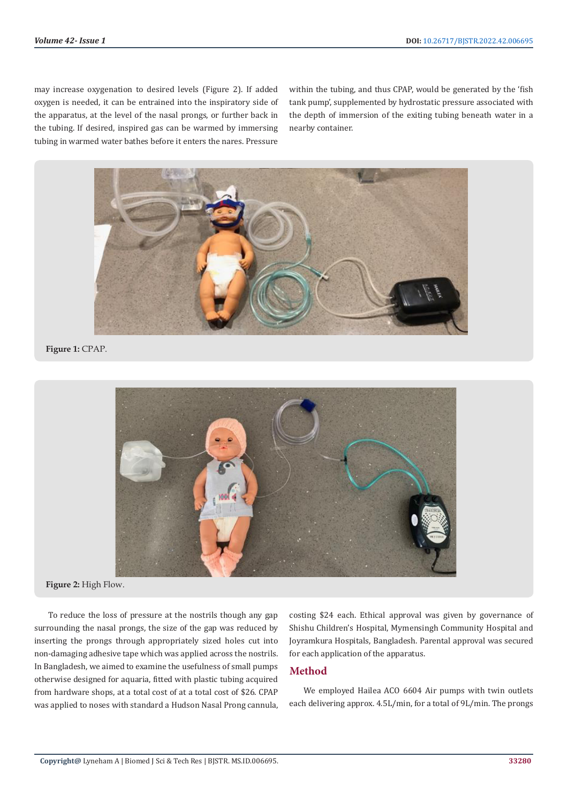may increase oxygenation to desired levels (Figure 2). If added oxygen is needed, it can be entrained into the inspiratory side of the apparatus, at the level of the nasal prongs, or further back in the tubing. If desired, inspired gas can be warmed by immersing tubing in warmed water bathes before it enters the nares. Pressure

within the tubing, and thus CPAP, would be generated by the 'fish tank pump', supplemented by hydrostatic pressure associated with the depth of immersion of the exiting tubing beneath water in a nearby container.



### **Figure 1:** CPAP.



**Figure 2:** High Flow.

To reduce the loss of pressure at the nostrils though any gap surrounding the nasal prongs, the size of the gap was reduced by inserting the prongs through appropriately sized holes cut into non-damaging adhesive tape which was applied across the nostrils. In Bangladesh, we aimed to examine the usefulness of small pumps otherwise designed for aquaria, fitted with plastic tubing acquired from hardware shops, at a total cost of at a total cost of \$26. CPAP was applied to noses with standard a Hudson Nasal Prong cannula,

costing \$24 each. Ethical approval was given by governance of Shishu Children's Hospital, Mymensingh Community Hospital and Joyramkura Hospitals, Bangladesh. Parental approval was secured for each application of the apparatus.

#### **Method**

We employed Hailea ACO 6604 Air pumps with twin outlets each delivering approx. 4.5L/min, for a total of 9L/min. The prongs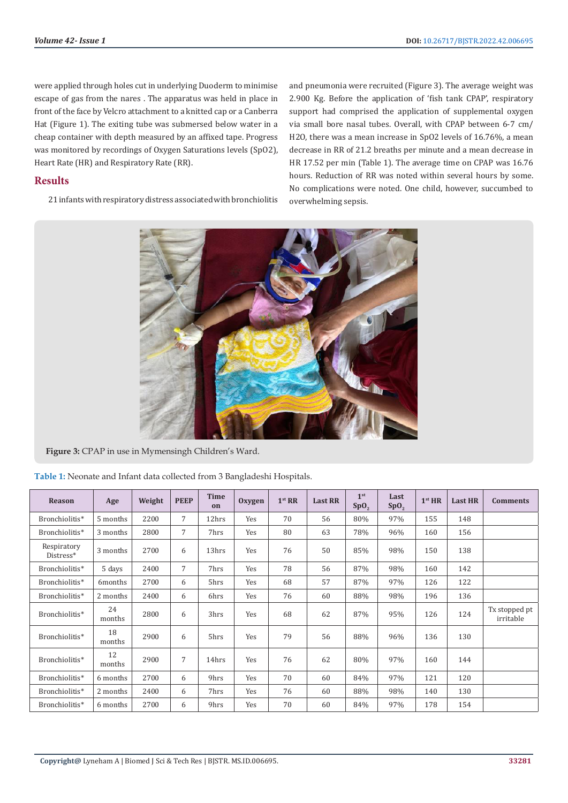were applied through holes cut in underlying Duoderm to minimise escape of gas from the nares . The apparatus was held in place in front of the face by Velcro attachment to a knitted cap or a Canberra Hat (Figure 1). The exiting tube was submersed below water in a cheap container with depth measured by an affixed tape. Progress was monitored by recordings of Oxygen Saturations levels (SpO2), Heart Rate (HR) and Respiratory Rate (RR).

## **Results**

21 infants with respiratory distress associated with bronchiolitis

and pneumonia were recruited (Figure 3). The average weight was 2.900 Kg. Before the application of 'fish tank CPAP', respiratory support had comprised the application of supplemental oxygen via small bore nasal tubes. Overall, with CPAP between 6-7 cm/ H2O, there was a mean increase in SpO2 levels of 16.76%, a mean decrease in RR of 21.2 breaths per minute and a mean decrease in HR 17.52 per min (Table 1). The average time on CPAP was 16.76 hours. Reduction of RR was noted within several hours by some. No complications were noted. One child, however, succumbed to overwhelming sepsis.



**Figure 3:** CPAP in use in Mymensingh Children's Ward.

| Table 1: Neonate and Infant data collected from 3 Bangladeshi Hospitals. |  |  |
|--------------------------------------------------------------------------|--|--|
|--------------------------------------------------------------------------|--|--|

| <b>Reason</b>            | Age          | Weight | <b>PEEP</b> | <b>Time</b><br>on | Oxygen | 1 <sup>st</sup> RR | <b>Last RR</b> | 1 <sup>st</sup><br>Sp0, | Last<br>SpO <sub>2</sub> | 1 <sup>st</sup> HR | <b>Last HR</b> | <b>Comments</b>            |
|--------------------------|--------------|--------|-------------|-------------------|--------|--------------------|----------------|-------------------------|--------------------------|--------------------|----------------|----------------------------|
| Bronchiolitis*           | 5 months     | 2200   | 7           | 12hrs             | Yes    | 70                 | 56             | 80%                     | 97%                      | 155                | 148            |                            |
| Bronchiolitis*           | 3 months     | 2800   | 7           | 7hrs              | Yes    | 80                 | 63             | 78%                     | 96%                      | 160                | 156            |                            |
| Respiratory<br>Distress* | 3 months     | 2700   | 6           | 13hrs             | Yes    | 76                 | 50             | 85%                     | 98%                      | 150                | 138            |                            |
| Bronchiolitis*           | 5 days       | 2400   | 7           | 7hrs              | Yes    | 78                 | 56             | 87%                     | 98%                      | 160                | 142            |                            |
| Bronchiolitis*           | 6months      | 2700   | 6           | 5hrs              | Yes    | 68                 | 57             | 87%                     | 97%                      | 126                | 122            |                            |
| Bronchiolitis*           | 2 months     | 2400   | 6           | 6hrs              | Yes    | 76                 | 60             | 88%                     | 98%                      | 196                | 136            |                            |
| Bronchiolitis*           | 24<br>months | 2800   | 6           | 3hrs              | Yes    | 68                 | 62             | 87%                     | 95%                      | 126                | 124            | Tx stopped pt<br>irritable |
| Bronchiolitis*           | 18<br>months | 2900   | 6           | 5hrs              | Yes    | 79                 | 56             | 88%                     | 96%                      | 136                | 130            |                            |
| Bronchiolitis*           | 12<br>months | 2900   | 7           | 14hrs             | Yes    | 76                 | 62             | 80%                     | 97%                      | 160                | 144            |                            |
| Bronchiolitis*           | 6 months     | 2700   | 6           | 9hrs              | Yes    | 70                 | 60             | 84%                     | 97%                      | 121                | 120            |                            |
| Bronchiolitis*           | 2 months     | 2400   | 6           | 7hrs              | Yes    | 76                 | 60             | 88%                     | 98%                      | 140                | 130            |                            |
| Bronchiolitis*           | 6 months     | 2700   | 6           | 9hrs              | Yes    | 70                 | 60             | 84%                     | 97%                      | 178                | 154            |                            |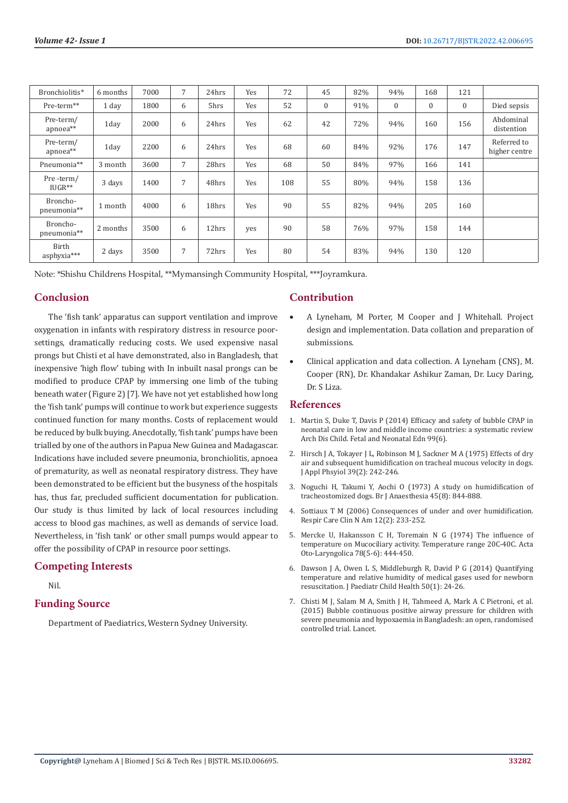| Bronchiolitis*          | 6 months | 7000 | 7              | 24hrs | Yes | 72  | 45           | 82% | 94%          | 168            | 121              |                              |
|-------------------------|----------|------|----------------|-------|-----|-----|--------------|-----|--------------|----------------|------------------|------------------------------|
| Pre-term**              | 1 day    | 1800 | 6              | 5hrs  | Yes | 52  | $\mathbf{0}$ | 91% | $\mathbf{0}$ | $\overline{0}$ | $\boldsymbol{0}$ | Died sepsis                  |
| Pre-term/<br>apnoea**   | 1day     | 2000 | 6              | 24hrs | Yes | 62  | 42           | 72% | 94%          | 160            | 156              | Abdominal<br>distention      |
| Pre-term/<br>apnoea**   | 1day     | 2200 | 6              | 24hrs | Yes | 68  | 60           | 84% | 92%          | 176            | 147              | Referred to<br>higher centre |
| Pneumonia**             | 3 month  | 3600 | $\overline{7}$ | 28hrs | Yes | 68  | 50           | 84% | 97%          | 166            | 141              |                              |
| Pre-term/<br>$IUGR**$   | 3 days   | 1400 | 7              | 48hrs | Yes | 108 | 55           | 80% | 94%          | 158            | 136              |                              |
| Broncho-<br>pneumonia** | 1 month  | 4000 | 6              | 18hrs | Yes | 90  | 55           | 82% | 94%          | 205            | 160              |                              |
| Broncho-<br>pneumonia** | 2 months | 3500 | 6              | 12hrs | yes | 90  | 58           | 76% | 97%          | 158            | 144              |                              |
| Birth<br>asphyxia***    | 2 days   | 3500 | $\overline{7}$ | 72hrs | Yes | 80  | 54           | 83% | 94%          | 130            | 120              |                              |

Note: \*Shishu Childrens Hospital, \*\*Mymansingh Community Hospital, \*\*\*Joyramkura.

#### **Conclusion**

The 'fish tank' apparatus can support ventilation and improve oxygenation in infants with respiratory distress in resource poorsettings, dramatically reducing costs. We used expensive nasal prongs but Chisti et al have demonstrated, also in Bangladesh, that inexpensive 'high flow' tubing with In inbuilt nasal prongs can be modified to produce CPAP by immersing one limb of the tubing beneath water (Figure 2) [7]. We have not yet established how long the 'fish tank' pumps will continue to work but experience suggests continued function for many months. Costs of replacement would be reduced by bulk buying. Anecdotally, 'fish tank' pumps have been trialled by one of the authors in Papua New Guinea and Madagascar. Indications have included severe pneumonia, bronchiolitis, apnoea of prematurity, as well as neonatal respiratory distress. They have been demonstrated to be efficient but the busyness of the hospitals has, thus far, precluded sufficient documentation for publication. Our study is thus limited by lack of local resources including access to blood gas machines, as well as demands of service load. Nevertheless, in 'fish tank' or other small pumps would appear to offer the possibility of CPAP in resource poor settings.

#### **Competing Interests**

Nil.

#### **Funding Source**

Department of Paediatrics, Western Sydney University.

## **Contribution**

- A Lyneham, M Porter, M Cooper and J Whitehall. Project design and implementation. Data collation and preparation of submissions.
- Clinical application and data collection. A Lyneham (CNS), M. Cooper (RN), Dr. Khandakar Ashikur Zaman, Dr. Lucy Daring, Dr. S Liza.

#### **References**

- 1. Martin S, Duke T, Davis P (2014) Efficacy and safety of bubble CPAP in neonatal care in low and middle income countries: a systematic review Arch Dis Child. Fetal and Neonatal Edn 99(6).
- 2. Hirsch J A, Tokayer J L, Robinson M J, Sackner M A (1975) Effects of dry air and subsequent humidification on tracheal mucous velocity in dogs. J Appl Phsyiol 39(2): 242-246.
- 3. [Noguchi H, Takumi Y, Aochi O \(1973\) A study on humidification of](https://pubmed.ncbi.nlm.nih.gov/4753681/) [tracheostomized dogs. Br J Anaesthesia 45\(8\): 844-888.](https://pubmed.ncbi.nlm.nih.gov/4753681/)
- 4. Sottiaux T M (2006) Consequences of under and over humidification. Respir Care Clin N Am 12(2): 233-252.
- 5. [Mercke U, Hakansson C H, Toremain N G \(1974\) The influence of](https://pubmed.ncbi.nlm.nih.gov/4451095/) [temperature on Mucociliary activity. Temperature range 20C-40C. Acta](https://pubmed.ncbi.nlm.nih.gov/4451095/) [Oto-Laryngolica 78\(5-6\): 444-450.](https://pubmed.ncbi.nlm.nih.gov/4451095/)
- 6. [Dawson J A, Owen L S, Middleburgh R, David P G \(2014\) Quantifying](https://pubmed.ncbi.nlm.nih.gov/24397449/) [temperature and relative humidity of medical gases used for newborn](https://pubmed.ncbi.nlm.nih.gov/24397449/) [resuscitation. J Paediatr Child Health 50\(1\): 24-26.](https://pubmed.ncbi.nlm.nih.gov/24397449/)
- 7. Chisti M J, Salam M A, Smith J H, Tahmeed A, Mark A C Pietroni, et al. (2015) Bubble continuous positive airway pressure for children with severe pneumonia and hypoxaemia in Bangladesh: an open, randomised controlled trial. Lancet.